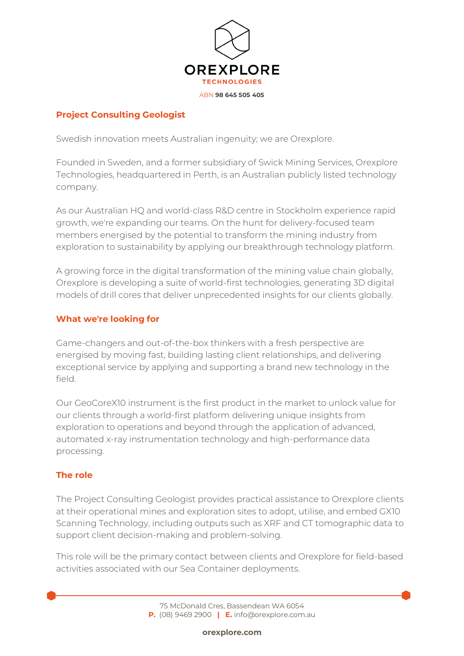

# **Project Consulting Geologist**

Swedish innovation meets Australian ingenuity; we are Orexplore.

Founded in Sweden, and a former subsidiary of Swick Mining Services, Orexplore Technologies, headquartered in Perth, is an Australian publicly listed technology company.

As our Australian HQ and world-class R&D centre in Stockholm experience rapid growth, we're expanding our teams. On the hunt for delivery-focused team members energised by the potential to transform the mining industry from exploration to sustainability by applying our breakthrough technology platform.

A growing force in the digital transformation of the mining value chain globally, Orexplore is developing a suite of world-first technologies, generating 3D digital models of drill cores that deliver unprecedented insights for our clients globally.

### **What we're looking for**

Game-changers and out-of-the-box thinkers with a fresh perspective are energised by moving fast, building lasting client relationships, and delivering exceptional service by applying and supporting a brand new technology in the field.

Our GeoCoreX10 instrument is the first product in the market to unlock value for our clients through a world-first platform delivering unique insights from exploration to operations and beyond through the application of advanced, automated x-ray instrumentation technology and high-performance data processing.

### **The role**

The Project Consulting Geologist provides practical assistance to Orexplore clients at their operational mines and exploration sites to adopt, utilise, and embed GX10 Scanning Technology, including outputs such as XRF and CT tomographic data to support client decision-making and problem-solving.

This role will be the primary contact between clients and Orexplore for field-based activities associated with our Sea Container deployments.

> 75 McDonald Cres, Bassendean WA 6054 **P.** [\(08\) 9469 2900](https://www.google.com/search?q=orexplore&rlz=1C5CHFA_enAU943AU943&oq=orexplore&aqs=chrome..69i57j46i175i199i512j0i512l5j0i10i512l2j0i512.2453j0j7&sourceid=chrome&ie=UTF-8) **| E.** [info@orexplore.com.au](http://ideas@orexplore.com.au)

> > **orexplore.com**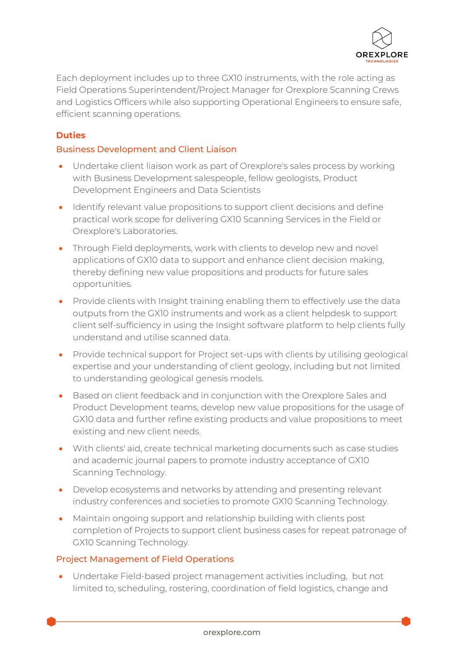

Each deployment includes up to three GX10 instruments, with the role acting as Field Operations Superintendent/Project Manager for Orexplore Scanning Crews and Logistics Officers while also supporting Operational Engineers to ensure safe, efficient scanning operations.

## **Duties**

#### Business Development and Client Liaison

- Undertake client liaison work as part of Orexplore's sales process by working with Business Development salespeople, fellow geologists, Product Development Engineers and Data Scientists
- Identify relevant value propositions to support client decisions and define practical work scope for delivering GX10 Scanning Services in the Field or Orexplore's Laboratories.
- Through Field deployments, work with clients to develop new and novel applications of GX10 data to support and enhance client decision making, thereby defining new value propositions and products for future sales opportunities.
- Provide clients with Insight training enabling them to effectively use the data outputs from the GX10 instruments and work as a client helpdesk to support client self-sufficiency in using the Insight software platform to help clients fully understand and utilise scanned data.
- Provide technical support for Project set-ups with clients by utilising geological expertise and your understanding of client geology, including but not limited to understanding geological genesis models.
- Based on client feedback and in conjunction with the Orexplore Sales and Product Development teams, develop new value propositions for the usage of GX10 data and further refine existing products and value propositions to meet existing and new client needs.
- With clients' aid, create technical marketing documents such as case studies and academic journal papers to promote industry acceptance of GX10 Scanning Technology.
- Develop ecosystems and networks by attending and presenting relevant industry conferences and societies to promote GX10 Scanning Technology.
- Maintain ongoing support and relationship building with clients post completion of Projects to support client business cases for repeat patronage of GX10 Scanning Technology.

#### Project Management of Field Operations

• Undertake Field-based project management activities including, but not limited to, scheduling, rostering, coordination of field logistics, change and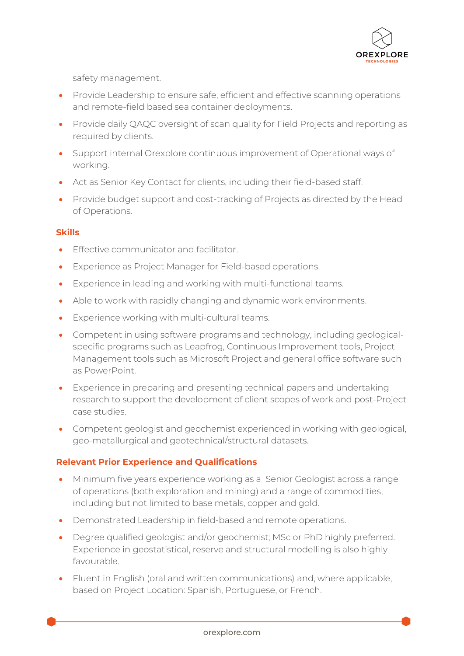

safety management.

- Provide Leadership to ensure safe, efficient and effective scanning operations and remote-field based sea container deployments.
- Provide daily QAQC oversight of scan quality for Field Projects and reporting as required by clients.
- Support internal Orexplore continuous improvement of Operational ways of working.
- Act as Senior Key Contact for clients, including their field-based staff.
- Provide budget support and cost-tracking of Projects as directed by the Head of Operations.

# **Skills**

- Effective communicator and facilitator.
- Experience as Project Manager for Field-based operations.
- Experience in leading and working with multi-functional teams.
- Able to work with rapidly changing and dynamic work environments.
- Experience working with multi-cultural teams.
- Competent in using software programs and technology, including geologicalspecific programs such as Leapfrog, Continuous Improvement tools, Project Management tools such as Microsoft Project and general office software such as PowerPoint.
- Experience in preparing and presenting technical papers and undertaking research to support the development of client scopes of work and post-Project case studies.
- Competent geologist and geochemist experienced in working with geological, geo-metallurgical and geotechnical/structural datasets.

### **Relevant Prior Experience and Qualifications**

- Minimum five years experience working as a Senior Geologist across a range of operations (both exploration and mining) and a range of commodities, including but not limited to base metals, copper and gold.
- Demonstrated Leadership in field-based and remote operations.
- Degree qualified geologist and/or geochemist; MSc or PhD highly preferred. Experience in geostatistical, reserve and structural modelling is also highly favourable.
- Fluent in English (oral and written communications) and, where applicable, based on Project Location: Spanish, Portuguese, or French.